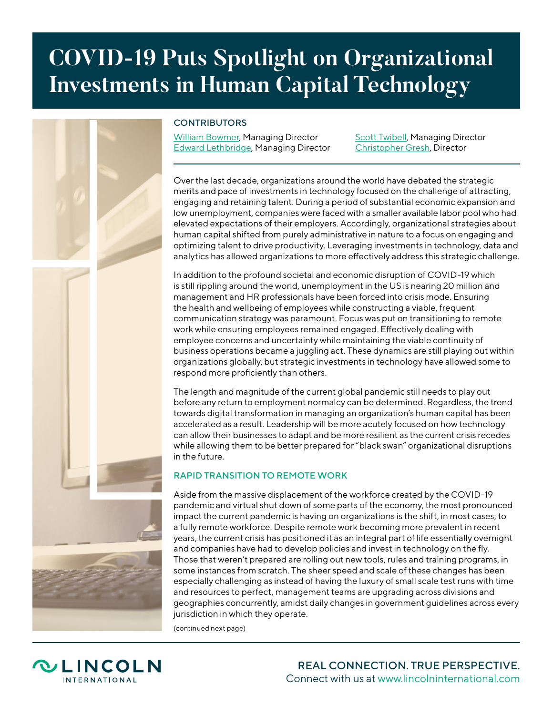# **COVID-19 Puts Spotlight on Organizational Investments in Human Capital Technology**

## **CONTRIBUTORS**

[William Bowmer,](https://www.lincolninternational.com/people/william-bowmer) Managing Director [Edward Lethbridge](https://www.lincolninternational.com/people/edward-lethbridge), Managing Director **[Scott Twibell](https://www.lincolninternational.com/people/scott-twibell), Managing Director** [Christopher Gresh](https://www.lincolninternational.com/people/christopher-gresh), Director

Over the last decade, organizations around the world have debated the strategic merits and pace of investments in technology focused on the challenge of attracting, engaging and retaining talent. During a period of substantial economic expansion and low unemployment, companies were faced with a smaller available labor pool who had elevated expectations of their employers. Accordingly, organizational strategies about human capital shifted from purely administrative in nature to a focus on engaging and optimizing talent to drive productivity. Leveraging investments in technology, data and analytics has allowed organizations to more effectively address this strategic challenge.

In addition to the profound societal and economic disruption of COVID-19 which is still rippling around the world, unemployment in the US is nearing 20 million and management and HR professionals have been forced into crisis mode. Ensuring the health and wellbeing of employees while constructing a viable, frequent communication strategy was paramount. Focus was put on transitioning to remote work while ensuring employees remained engaged. Effectively dealing with employee concerns and uncertainty while maintaining the viable continuity of business operations became a juggling act. These dynamics are still playing out within organizations globally, but strategic investments in technology have allowed some to respond more proficiently than others.

The length and magnitude of the current global pandemic still needs to play out before any return to employment normalcy can be determined. Regardless, the trend towards digital transformation in managing an organization's human capital has been accelerated as a result. Leadership will be more acutely focused on how technology can allow their businesses to adapt and be more resilient as the current crisis recedes while allowing them to be better prepared for "black swan" organizational disruptions in the future.

### RAPID TRANSITION TO REMOTE WORK

Aside from the massive displacement of the workforce created by the COVID-19 pandemic and virtual shut down of some parts of the economy, the most pronounced impact the current pandemic is having on organizations is the shift, in most cases, to a fully remote workforce. Despite remote work becoming more prevalent in recent years, the current crisis has positioned it as an integral part of life essentially overnight and companies have had to develop policies and invest in technology on the fly. Those that weren't prepared are rolling out new tools, rules and training programs, in some instances from scratch. The sheer speed and scale of these changes has been especially challenging as instead of having the luxury of small scale test runs with time and resources to perfect, management teams are upgrading across divisions and geographies concurrently, amidst daily changes in government guidelines across every jurisdiction in which they operate.

(continued next page)

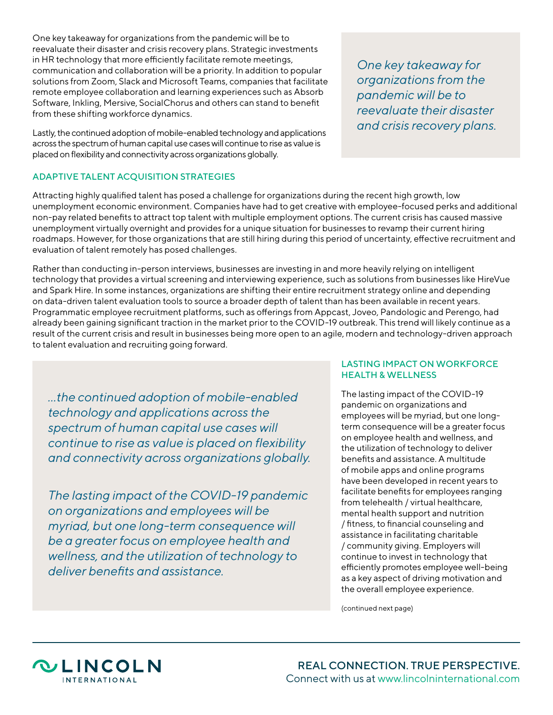One key takeaway for organizations from the pandemic will be to reevaluate their disaster and crisis recovery plans. Strategic investments in HR technology that more efficiently facilitate remote meetings, communication and collaboration will be a priority. In addition to popular solutions from Zoom, Slack and Microsoft Teams, companies that facilitate remote employee collaboration and learning experiences such as Absorb Software, Inkling, Mersive, SocialChorus and others can stand to benefit from these shifting workforce dynamics.

Lastly, the continued adoption of mobile-enabled technology and applications across the spectrum of human capital use cases will continue to rise as value is placed on flexibility and connectivity across organizations globally.

#### ADAPTIVE TALENT ACQUISITION STRATEGIES

Attracting highly qualified talent has posed a challenge for organizations during the recent high growth, low unemployment economic environment. Companies have had to get creative with employee-focused perks and additional non-pay related benefits to attract top talent with multiple employment options. The current crisis has caused massive unemployment virtually overnight and provides for a unique situation for businesses to revamp their current hiring roadmaps. However, for those organizations that are still hiring during this period of uncertainty, effective recruitment and evaluation of talent remotely has posed challenges.

Rather than conducting in-person interviews, businesses are investing in and more heavily relying on intelligent technology that provides a virtual screening and interviewing experience, such as solutions from businesses like HireVue and Spark Hire. In some instances, organizations are shifting their entire recruitment strategy online and depending on data-driven talent evaluation tools to source a broader depth of talent than has been available in recent years. Programmatic employee recruitment platforms, such as offerings from Appcast, Joveo, Pandologic and Perengo, had already been gaining significant traction in the market prior to the COVID-19 outbreak. This trend will likely continue as a result of the current crisis and result in businesses being more open to an agile, modern and technology-driven approach to talent evaluation and recruiting going forward.

*...the continued adoption of mobile-enabled technology and applications across the spectrum of human capital use cases will continue to rise as value is placed on flexibility and connectivity across organizations globally.*

*The lasting impact of the COVID-19 pandemic on organizations and employees will be myriad, but one long-term consequence will be a greater focus on employee health and wellness, and the utilization of technology to deliver benefits and assistance.*

#### LASTING IMPACT ON WORKFORCE HEALTH & WELLNESS

The lasting impact of the COVID-19 pandemic on organizations and employees will be myriad, but one longterm consequence will be a greater focus on employee health and wellness, and the utilization of technology to deliver benefits and assistance. A multitude of mobile apps and online programs have been developed in recent years to facilitate benefits for employees ranging from telehealth / virtual healthcare, mental health support and nutrition / fitness, to financial counseling and assistance in facilitating charitable / community giving. Employers will continue to invest in technology that efficiently promotes employee well-being as a key aspect of driving motivation and the overall employee experience.

(continued next page)



*One key takeaway for organizations from the pandemic will be to reevaluate their disaster and crisis recovery plans.*